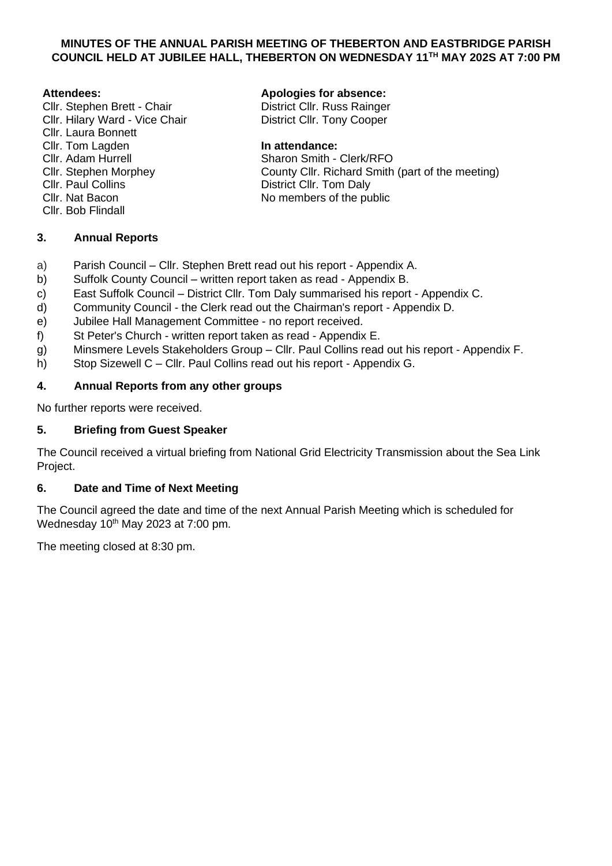## **MINUTES OF THE ANNUAL PARISH MEETING OF THEBERTON AND EASTBRIDGE PARISH COUNCIL HELD AT JUBILEE HALL, THEBERTON ON WEDNESDAY 11TH MAY 202S AT 7:00 PM**

## **Attendees:**

- Cllr. Stephen Brett Chair Cllr. Hilary Ward - Vice Chair Cllr. Laura Bonnett Cllr. Tom Lagden Cllr. Adam Hurrell Cllr. Stephen Morphey Cllr. Paul Collins Cllr. Nat Bacon
- Cllr. Bob Flindall

## **3. Annual Reports**

## **Apologies for absence:**

District Cllr. Russ Rainger District Cllr. Tony Cooper

#### **In attendance:**

Sharon Smith - Clerk/RFO County Cllr. Richard Smith (part of the meeting) District Cllr. Tom Daly No members of the public

- a) Parish Council Cllr. Stephen Brett read out his report Appendix A.
- b) Suffolk County Council written report taken as read Appendix B.
- c) East Suffolk Council District Cllr. Tom Daly summarised his report Appendix C.
- d) Community Council the Clerk read out the Chairman's report Appendix D.
- e) Jubilee Hall Management Committee no report received.
- f) St Peter's Church written report taken as read Appendix E.
- g) Minsmere Levels Stakeholders Group Cllr. Paul Collins read out his report Appendix F.
- h) Stop Sizewell C Cllr. Paul Collins read out his report Appendix G.

## **4. Annual Reports from any other groups**

No further reports were received.

## **5. Briefing from Guest Speaker**

The Council received a virtual briefing from National Grid Electricity Transmission about the Sea Link Project.

## **6. Date and Time of Next Meeting**

The Council agreed the date and time of the next Annual Parish Meeting which is scheduled for Wednesday 10<sup>th</sup> May 2023 at 7:00 pm.

The meeting closed at 8:30 pm.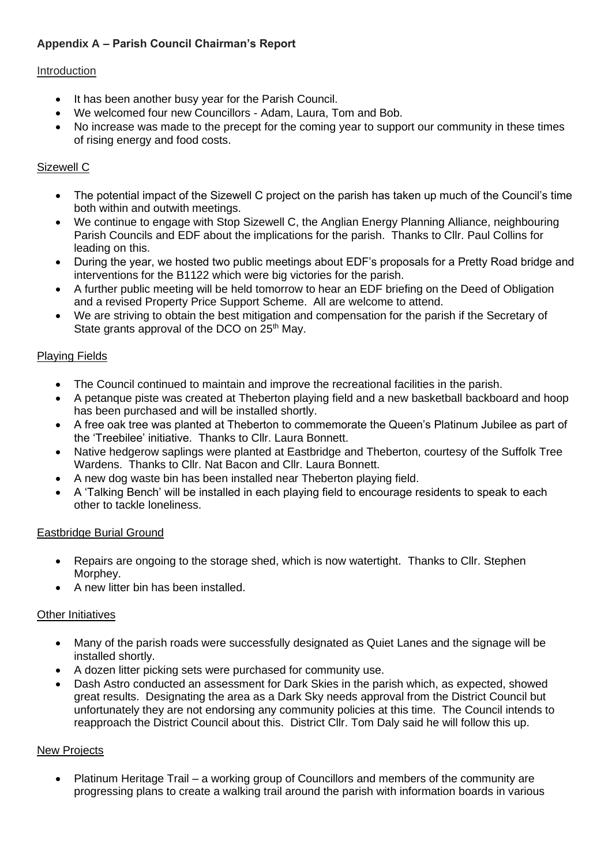# **Appendix A – Parish Council Chairman's Report**

## Introduction

- It has been another busy year for the Parish Council.
- We welcomed four new Councillors Adam, Laura, Tom and Bob.
- No increase was made to the precept for the coming year to support our community in these times of rising energy and food costs.

## Sizewell C

- The potential impact of the Sizewell C project on the parish has taken up much of the Council's time both within and outwith meetings.
- We continue to engage with Stop Sizewell C, the Anglian Energy Planning Alliance, neighbouring Parish Councils and EDF about the implications for the parish. Thanks to Cllr. Paul Collins for leading on this.
- During the year, we hosted two public meetings about EDF's proposals for a Pretty Road bridge and interventions for the B1122 which were big victories for the parish.
- A further public meeting will be held tomorrow to hear an EDF briefing on the Deed of Obligation and a revised Property Price Support Scheme. All are welcome to attend.
- We are striving to obtain the best mitigation and compensation for the parish if the Secretary of State grants approval of the DCO on 25<sup>th</sup> May.

## Playing Fields

- The Council continued to maintain and improve the recreational facilities in the parish.
- A petanque piste was created at Theberton playing field and a new basketball backboard and hoop has been purchased and will be installed shortly.
- A free oak tree was planted at Theberton to commemorate the Queen's Platinum Jubilee as part of the 'Treebilee' initiative. Thanks to Cllr. Laura Bonnett.
- Native hedgerow saplings were planted at Eastbridge and Theberton, courtesy of the Suffolk Tree Wardens. Thanks to Cllr. Nat Bacon and Cllr. Laura Bonnett.
- A new dog waste bin has been installed near Theberton playing field.
- A 'Talking Bench' will be installed in each playing field to encourage residents to speak to each other to tackle loneliness.

#### Eastbridge Burial Ground

- Repairs are ongoing to the storage shed, which is now watertight. Thanks to Cllr. Stephen Morphey.
- A new litter bin has been installed.

#### Other Initiatives

- Many of the parish roads were successfully designated as Quiet Lanes and the signage will be installed shortly.
- A dozen litter picking sets were purchased for community use.
- Dash Astro conducted an assessment for Dark Skies in the parish which, as expected, showed great results. Designating the area as a Dark Sky needs approval from the District Council but unfortunately they are not endorsing any community policies at this time. The Council intends to reapproach the District Council about this. District Cllr. Tom Daly said he will follow this up.

#### New Projects

• Platinum Heritage Trail – a working group of Councillors and members of the community are progressing plans to create a walking trail around the parish with information boards in various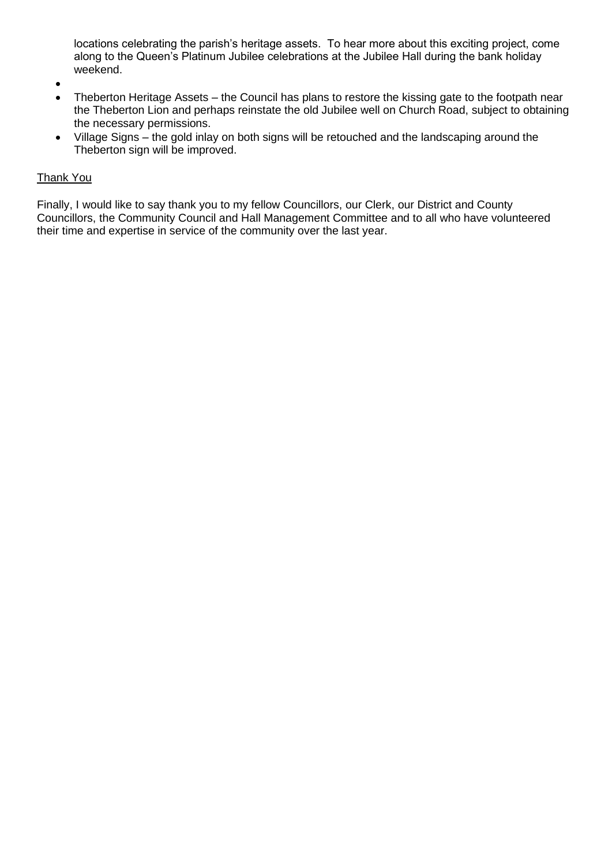locations celebrating the parish's heritage assets. To hear more about this exciting project, come along to the Queen's Platinum Jubilee celebrations at the Jubilee Hall during the bank holiday weekend.

- •
- Theberton Heritage Assets the Council has plans to restore the kissing gate to the footpath near the Theberton Lion and perhaps reinstate the old Jubilee well on Church Road, subject to obtaining the necessary permissions.
- Village Signs the gold inlay on both signs will be retouched and the landscaping around the Theberton sign will be improved.

## Thank You

Finally, I would like to say thank you to my fellow Councillors, our Clerk, our District and County Councillors, the Community Council and Hall Management Committee and to all who have volunteered their time and expertise in service of the community over the last year.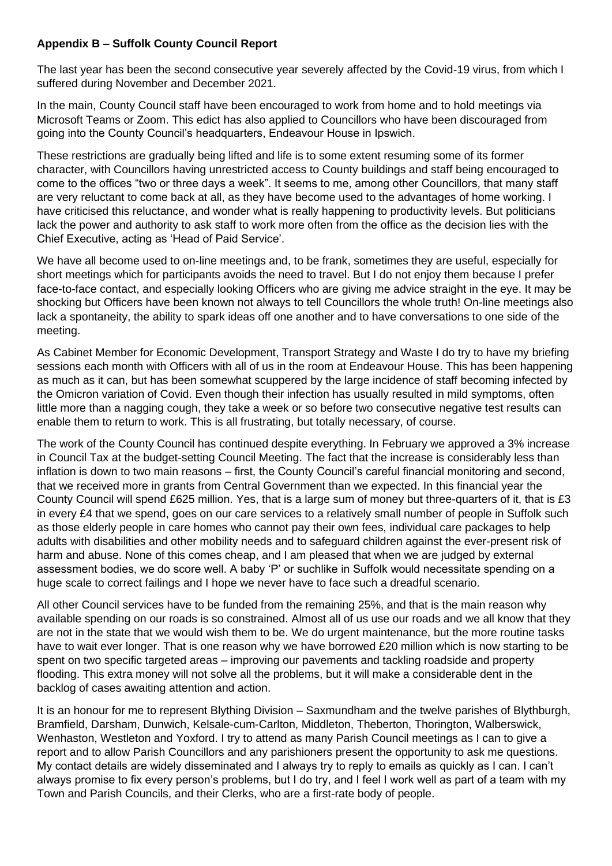## **Appendix B – Suffolk County Council Report**

The last year has been the second consecutive year severely affected by the Covid-19 virus, from which I suffered during November and December 2021.

In the main, County Council staff have been encouraged to work from home and to hold meetings via Microsoft Teams or Zoom. This edict has also applied to Councillors who have been discouraged from going into the County Council's headquarters, Endeavour House in Ipswich.

These restrictions are gradually being lifted and life is to some extent resuming some of its former character, with Councillors having unrestricted access to County buildings and staff being encouraged to come to the offices "two or three days a week". It seems to me, among other Councillors, that many staff are very reluctant to come back at all, as they have become used to the advantages of home working. I have criticised this reluctance, and wonder what is really happening to productivity levels. But politicians lack the power and authority to ask staff to work more often from the office as the decision lies with the Chief Executive, acting as 'Head of Paid Service'.

We have all become used to on-line meetings and, to be frank, sometimes they are useful, especially for short meetings which for participants avoids the need to travel. But I do not enjoy them because I prefer face-to-face contact, and especially looking Officers who are giving me advice straight in the eye. It may be shocking but Officers have been known not always to tell Councillors the whole truth! On-line meetings also lack a spontaneity, the ability to spark ideas off one another and to have conversations to one side of the meeting.

As Cabinet Member for Economic Development, Transport Strategy and Waste I do try to have my briefing sessions each month with Officers with all of us in the room at Endeavour House. This has been happening as much as it can, but has been somewhat scuppered by the large incidence of staff becoming infected by the Omicron variation of Covid. Even though their infection has usually resulted in mild symptoms, often little more than a nagging cough, they take a week or so before two consecutive negative test results can enable them to return to work. This is all frustrating, but totally necessary, of course.

The work of the County Council has continued despite everything. In February we approved a 3% increase in Council Tax at the budget-setting Council Meeting. The fact that the increase is considerably less than inflation is down to two main reasons – first, the County Council's careful financial monitoring and second, that we received more in grants from Central Government than we expected. In this financial year the County Council will spend £625 million. Yes, that is a large sum of money but three-quarters of it, that is £3 in every £4 that we spend, goes on our care services to a relatively small number of people in Suffolk such as those elderly people in care homes who cannot pay their own fees, individual care packages to help adults with disabilities and other mobility needs and to safeguard children against the ever-present risk of harm and abuse. None of this comes cheap, and I am pleased that when we are judged by external assessment bodies, we do score well. A baby 'P' or suchlike in Suffolk would necessitate spending on a huge scale to correct failings and I hope we never have to face such a dreadful scenario.

All other Council services have to be funded from the remaining 25%, and that is the main reason why available spending on our roads is so constrained. Almost all of us use our roads and we all know that they are not in the state that we would wish them to be. We do urgent maintenance, but the more routine tasks have to wait ever longer. That is one reason why we have borrowed £20 million which is now starting to be spent on two specific targeted areas – improving our pavements and tackling roadside and property flooding. This extra money will not solve all the problems, but it will make a considerable dent in the backlog of cases awaiting attention and action.

It is an honour for me to represent Blything Division – Saxmundham and the twelve parishes of Blythburgh, Bramfield, Darsham, Dunwich, Kelsale-cum-Carlton, Middleton, Theberton, Thorington, Walberswick, Wenhaston, Westleton and Yoxford. I try to attend as many Parish Council meetings as I can to give a report and to allow Parish Councillors and any parishioners present the opportunity to ask me questions. My contact details are widely disseminated and I always try to reply to emails as quickly as I can. I can't always promise to fix every person's problems, but I do try, and I feel I work well as part of a team with my Town and Parish Councils, and their Clerks, who are a first-rate body of people.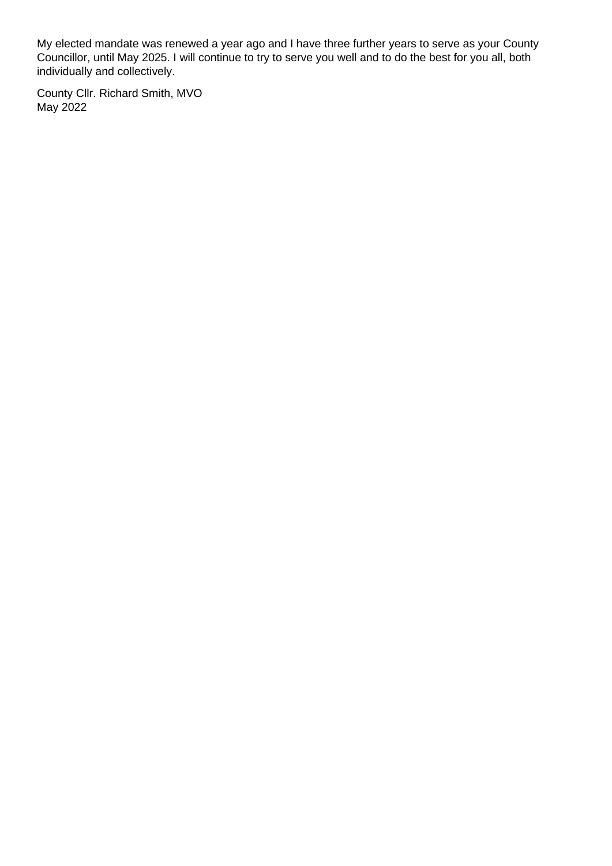My elected mandate was renewed a year ago and I have three further years to serve as your County Councillor, until May 2025. I will continue to try to serve you well and to do the best for you all, both individually and collectively.

County Cllr. Richard Smith, MVO May 2022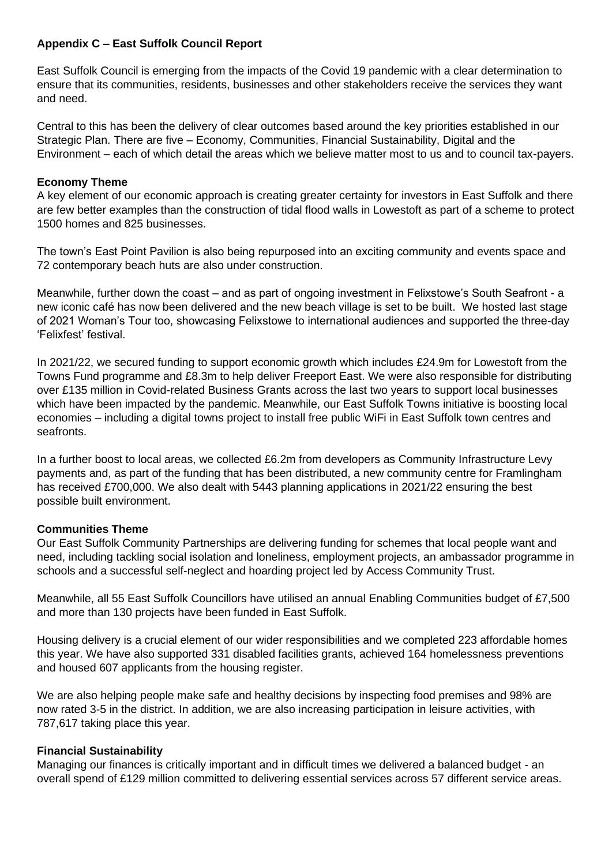## **Appendix C – East Suffolk Council Report**

East Suffolk Council is emerging from the impacts of the Covid 19 pandemic with a clear determination to ensure that its communities, residents, businesses and other stakeholders receive the services they want and need.

Central to this has been the delivery of clear outcomes based around the key priorities established in our Strategic Plan. There are five – Economy, Communities, Financial Sustainability, Digital and the Environment – each of which detail the areas which we believe matter most to us and to council tax-payers.

## **Economy Theme**

A key element of our economic approach is creating greater certainty for investors in East Suffolk and there are few better examples than the construction of tidal flood walls in Lowestoft as part of a scheme to protect 1500 homes and 825 businesses.

The town's East Point Pavilion is also being repurposed into an exciting community and events space and 72 contemporary beach huts are also under construction.

Meanwhile, further down the coast – and as part of ongoing investment in Felixstowe's South Seafront - a new iconic café has now been delivered and the new beach village is set to be built. We hosted last stage of 2021 Woman's Tour too, showcasing Felixstowe to international audiences and supported the three-day 'Felixfest' festival.

In 2021/22, we secured funding to support economic growth which includes £24.9m for Lowestoft from the Towns Fund programme and £8.3m to help deliver Freeport East. We were also responsible for distributing over £135 million in Covid-related Business Grants across the last two years to support local businesses which have been impacted by the pandemic. Meanwhile, our East Suffolk Towns initiative is boosting local economies – including a digital towns project to install free public WiFi in East Suffolk town centres and seafronts.

In a further boost to local areas, we collected £6.2m from developers as Community Infrastructure Levy payments and, as part of the funding that has been distributed, a new community centre for Framlingham has received £700,000. We also dealt with 5443 planning applications in 2021/22 ensuring the best possible built environment.

#### **Communities Theme**

Our East Suffolk Community Partnerships are delivering funding for schemes that local people want and need, including tackling social isolation and loneliness, employment projects, an ambassador programme in schools and a successful self-neglect and hoarding project led by Access Community Trust.

Meanwhile, all 55 East Suffolk Councillors have utilised an annual Enabling Communities budget of £7,500 and more than 130 projects have been funded in East Suffolk.

Housing delivery is a crucial element of our wider responsibilities and we completed 223 affordable homes this year. We have also supported 331 disabled facilities grants, achieved 164 homelessness preventions and housed 607 applicants from the housing register.

We are also helping people make safe and healthy decisions by inspecting food premises and 98% are now rated 3-5 in the district. In addition, we are also increasing participation in leisure activities, with 787,617 taking place this year.

#### **Financial Sustainability**

Managing our finances is critically important and in difficult times we delivered a balanced budget - an overall spend of £129 million committed to delivering essential services across 57 different service areas.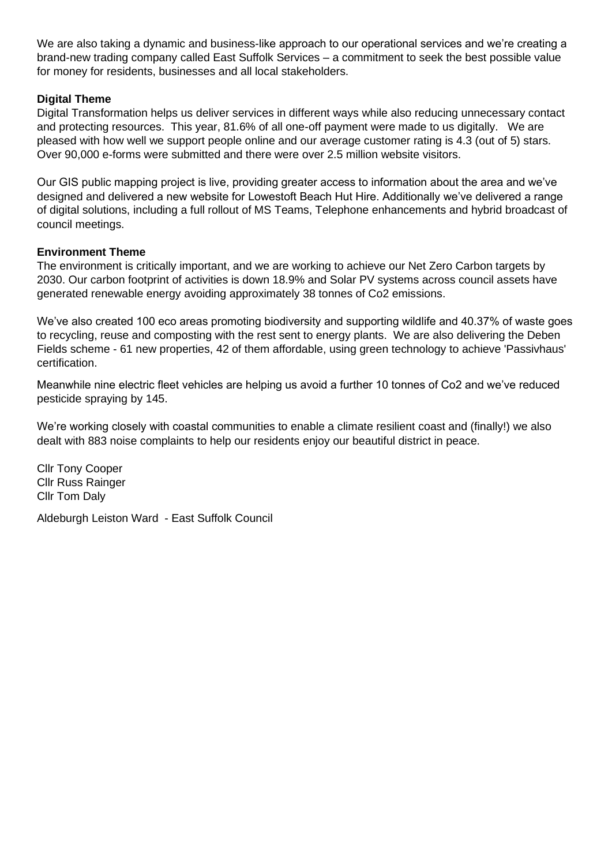We are also taking a dynamic and business-like approach to our operational services and we're creating a brand-new trading company called East Suffolk Services – a commitment to seek the best possible value for money for residents, businesses and all local stakeholders.

## **Digital Theme**

Digital Transformation helps us deliver services in different ways while also reducing unnecessary contact and protecting resources. This year, 81.6% of all one-off payment were made to us digitally. We are pleased with how well we support people online and our average customer rating is 4.3 (out of 5) stars. Over 90,000 e-forms were submitted and there were over 2.5 million website visitors.

Our GIS public mapping project is live, providing greater access to information about the area and we've designed and delivered a new website for Lowestoft Beach Hut Hire. Additionally we've delivered a range of digital solutions, including a full rollout of MS Teams, Telephone enhancements and hybrid broadcast of council meetings.

## **Environment Theme**

The environment is critically important, and we are working to achieve our Net Zero Carbon targets by 2030. Our carbon footprint of activities is down 18.9% and Solar PV systems across council assets have generated renewable energy avoiding approximately 38 tonnes of Co2 emissions.

We've also created 100 eco areas promoting biodiversity and supporting wildlife and 40.37% of waste goes to recycling, reuse and composting with the rest sent to energy plants. We are also delivering the Deben Fields scheme - 61 new properties, 42 of them affordable, using green technology to achieve 'Passivhaus' certification.

Meanwhile nine electric fleet vehicles are helping us avoid a further 10 tonnes of Co2 and we've reduced pesticide spraying by 145.

We're working closely with coastal communities to enable a climate resilient coast and (finally!) we also dealt with 883 noise complaints to help our residents enjoy our beautiful district in peace.

Cllr Tony Cooper Cllr Russ Rainger Cllr Tom Daly

Aldeburgh Leiston Ward - East Suffolk Council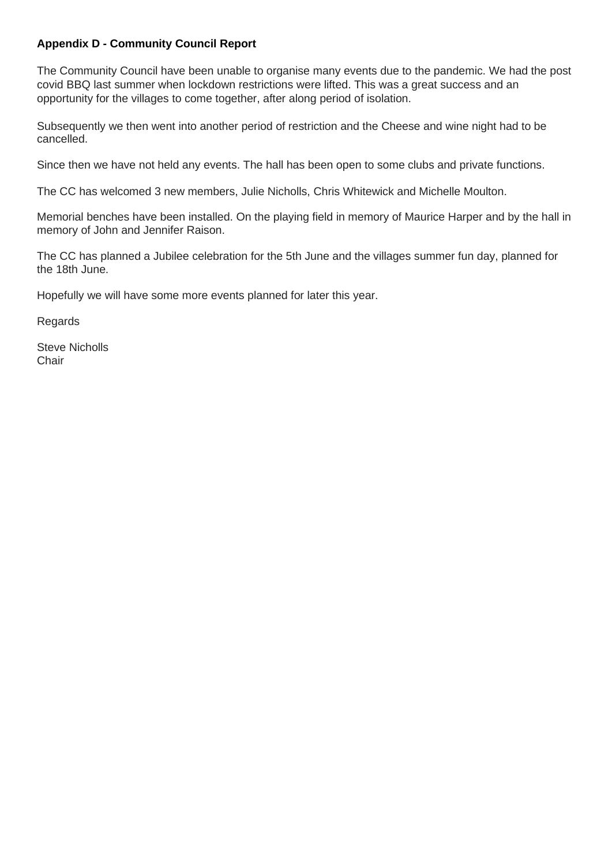## **Appendix D - Community Council Report**

The Community Council have been unable to organise many events due to the pandemic. We had the post covid BBQ last summer when lockdown restrictions were lifted. This was a great success and an opportunity for the villages to come together, after along period of isolation.

Subsequently we then went into another period of restriction and the Cheese and wine night had to be cancelled.

Since then we have not held any events. The hall has been open to some clubs and private functions.

The CC has welcomed 3 new members, Julie Nicholls, Chris Whitewick and Michelle Moulton.

Memorial benches have been installed. On the playing field in memory of Maurice Harper and by the hall in memory of John and Jennifer Raison.

The CC has planned a Jubilee celebration for the 5th June and the villages summer fun day, planned for the 18th June.

Hopefully we will have some more events planned for later this year.

**Regards** 

Steve Nicholls **Chair**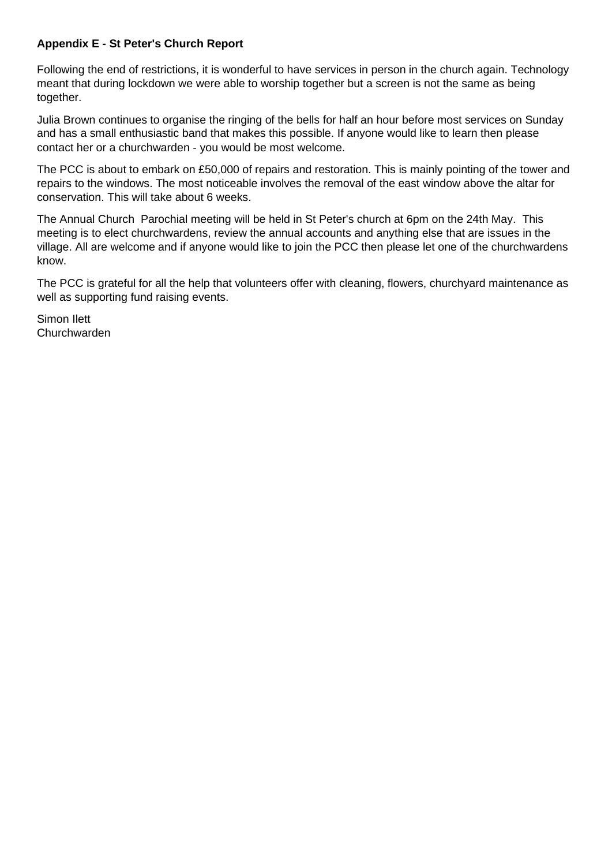## **Appendix E - St Peter's Church Report**

Following the end of restrictions, it is wonderful to have services in person in the church again. Technology meant that during lockdown we were able to worship together but a screen is not the same as being together.

Julia Brown continues to organise the ringing of the bells for half an hour before most services on Sunday and has a small enthusiastic band that makes this possible. If anyone would like to learn then please contact her or a churchwarden - you would be most welcome.

The PCC is about to embark on £50,000 of repairs and restoration. This is mainly pointing of the tower and repairs to the windows. The most noticeable involves the removal of the east window above the altar for conservation. This will take about 6 weeks.

The Annual Church Parochial meeting will be held in St Peter's church at 6pm on the 24th May. This meeting is to elect churchwardens, review the annual accounts and anything else that are issues in the village. All are welcome and if anyone would like to join the PCC then please let one of the churchwardens know.

The PCC is grateful for all the help that volunteers offer with cleaning, flowers, churchyard maintenance as well as supporting fund raising events.

Simon Ilett Churchwarden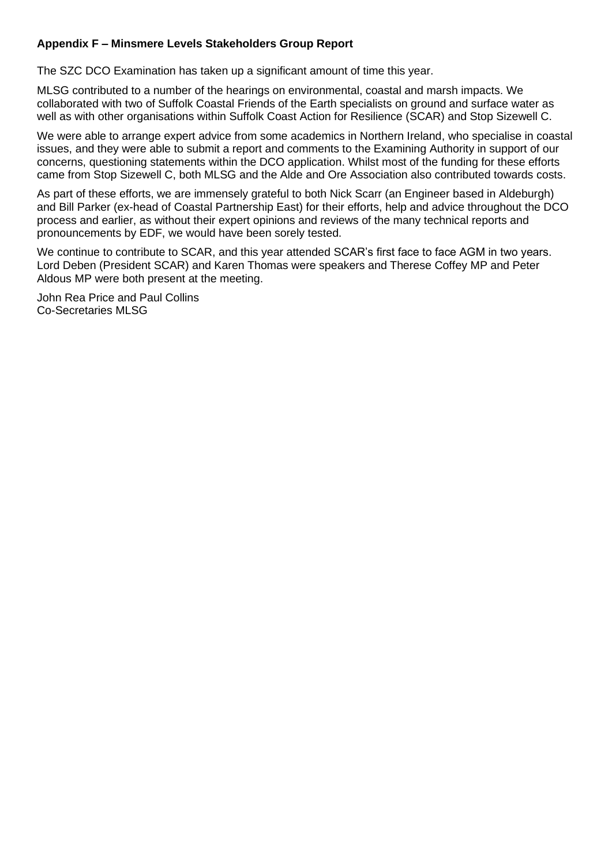## **Appendix F – Minsmere Levels Stakeholders Group Report**

The SZC DCO Examination has taken up a significant amount of time this year.

MLSG contributed to a number of the hearings on environmental, coastal and marsh impacts. We collaborated with two of Suffolk Coastal Friends of the Earth specialists on ground and surface water as well as with other organisations within Suffolk Coast Action for Resilience (SCAR) and Stop Sizewell C.

We were able to arrange expert advice from some academics in Northern Ireland, who specialise in coastal issues, and they were able to submit a report and comments to the Examining Authority in support of our concerns, questioning statements within the DCO application. Whilst most of the funding for these efforts came from Stop Sizewell C, both MLSG and the Alde and Ore Association also contributed towards costs.

As part of these efforts, we are immensely grateful to both Nick Scarr (an Engineer based in Aldeburgh) and Bill Parker (ex-head of Coastal Partnership East) for their efforts, help and advice throughout the DCO process and earlier, as without their expert opinions and reviews of the many technical reports and pronouncements by EDF, we would have been sorely tested.

We continue to contribute to SCAR, and this year attended SCAR's first face to face AGM in two years. Lord Deben (President SCAR) and Karen Thomas were speakers and Therese Coffey MP and Peter Aldous MP were both present at the meeting.

John Rea Price and Paul Collins Co-Secretaries MLSG